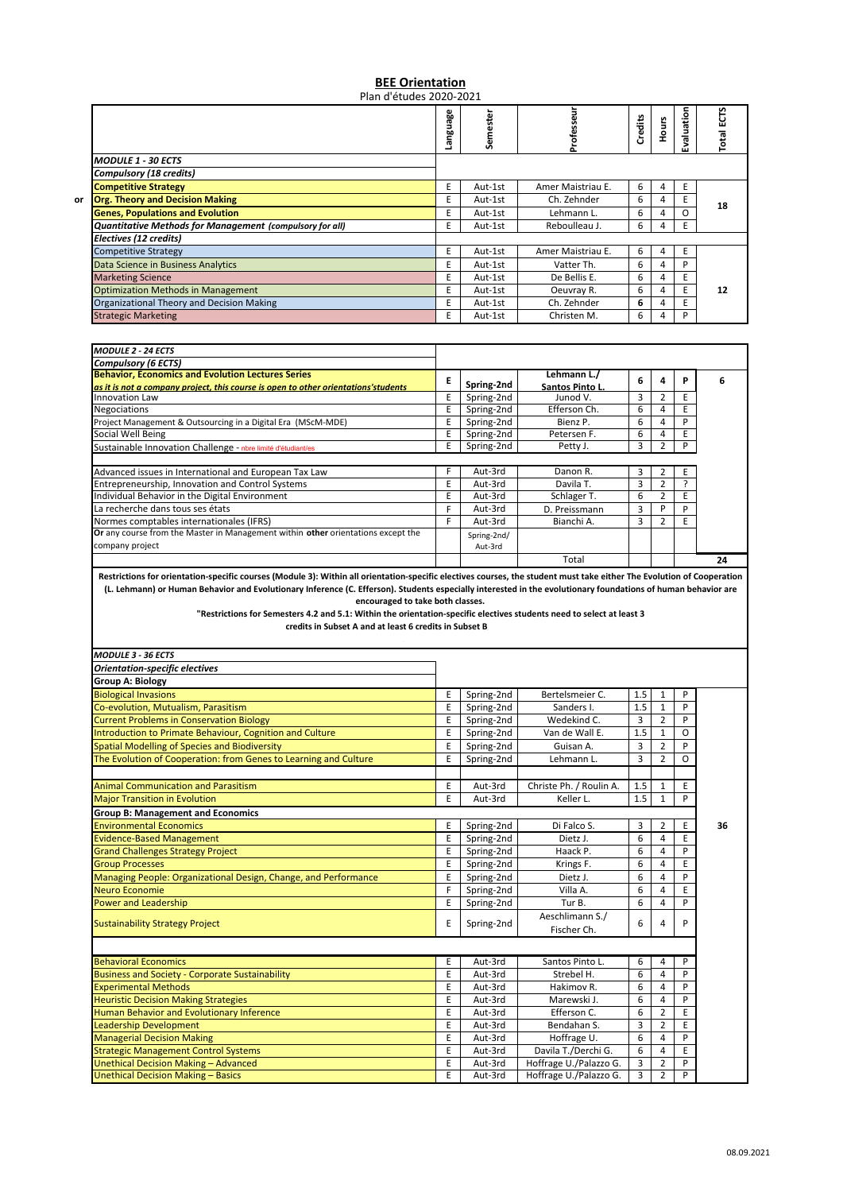## **BEE Orientation** Plan d'études 2020‐2021

|    |                                                          | uage<br>훋<br>ო | Semester |                   | Credits | Hours | valuation<br>Ŵ. | ΕCTS<br><b>Total</b> |
|----|----------------------------------------------------------|----------------|----------|-------------------|---------|-------|-----------------|----------------------|
|    | <b>MODULE 1 - 30 ECTS</b>                                |                |          |                   |         |       |                 |                      |
|    | <b>Compulsory (18 credits)</b>                           |                |          |                   |         |       |                 |                      |
|    | <b>Competitive Strategy</b>                              | E              | Aut-1st  | Amer Maistriau E. | 6       | 4     |                 |                      |
| or | <b>Org. Theory and Decision Making</b>                   | E              | Aut-1st  | Ch. Zehnder       | 6       | 4     |                 | 18                   |
|    | <b>Genes, Populations and Evolution</b>                  | E              | Aut-1st  | Lehmann L.        | 6       | 4     |                 |                      |
|    | Quantitative Methods for Management (compulsory for all) | E              | Aut-1st  | Reboulleau J.     | 6       | 4     | E               |                      |
|    | Electives (12 credits)                                   |                |          |                   |         |       |                 |                      |
|    | <b>Competitive Strategy</b>                              | E              | Aut-1st  | Amer Maistriau E. | 6       | 4     | E.              |                      |
|    | <b>Data Science in Business Analytics</b>                | E              | Aut-1st  | Vatter Th.        | 6.      | 4     | D               |                      |
|    | <b>Marketing Science</b>                                 | E              | Aut-1st  | De Bellis E.      | 6       | 4     | E               |                      |
|    | <b>Optimization Methods in Management</b>                | E              | Aut-1st  | Oeuvray R.        | 6       | 4     | Ε               | 12                   |
|    | Organizational Theory and Decision Making                | E              | Aut-1st  | Ch. Zehnder       | 6.      | 4     |                 |                      |
|    | <b>Strategic Marketing</b>                               | E              | Aut-1st  | Christen M.       | 6       | 4     | D               |                      |

| <b>MODULE 2 - 24 ECTS</b>                                                          |   |             |                 |   |   |   |    |
|------------------------------------------------------------------------------------|---|-------------|-----------------|---|---|---|----|
| <b>Compulsory (6 ECTS)</b>                                                         |   |             |                 |   |   |   |    |
| <b>Behavior, Economics and Evolution Lectures Series</b>                           |   |             | Lehmann L./     | 6 |   | P | 6  |
| as it is not a company project, this course is open to other orientations'students |   | Spring-2nd  | Santos Pinto L. |   |   |   |    |
| <b>Innovation Law</b>                                                              |   | Spring-2nd  | Junod V.        | 3 | 2 | E |    |
| Negociations                                                                       |   | Spring-2nd  | Efferson Ch.    | 6 | 4 | E |    |
| Project Management & Outsourcing in a Digital Era (MScM-MDE)                       |   | Spring-2nd  | Bienz P.        | 6 | 4 | D |    |
| Social Well Being                                                                  |   | Spring-2nd  | Petersen F.     | 6 | 4 | E |    |
| Sustainable Innovation Challenge - nbre limité d'étudiant/es                       |   | Spring-2nd  | Petty J.        | 3 |   | P |    |
|                                                                                    |   |             |                 |   |   |   |    |
| Advanced issues in International and European Tax Law                              |   | Aut-3rd     | Danon R.        | 3 |   | E |    |
| Entrepreneurship, Innovation and Control Systems                                   | E | Aut-3rd     | Davila T.       | 3 | 2 |   |    |
| Individual Behavior in the Digital Environment                                     | E | Aut-3rd     | Schlager T.     | 6 |   | E |    |
| La recherche dans tous ses états                                                   |   | Aut-3rd     | D. Preissmann   | 3 | P | P |    |
| Normes comptables internationales (IFRS)                                           |   | Aut-3rd     | Bianchi A.      | 3 | 2 | E |    |
| Or any course from the Master in Management within other orientations except the   |   | Spring-2nd/ |                 |   |   |   |    |
| company project                                                                    |   | Aut-3rd     |                 |   |   |   |    |
|                                                                                    |   |             | Total           |   |   |   | 24 |

Restrictions for orientation-specific courses (Module 3): Within all orientation-specific electives courses, the student must take either The Evolution of Cooperation (L. Lehmann) or Human Behavior and Evolutionary Inference (C. Efferson). Students especially interested in the evolutionary foundations of human behavior are **encouraged to take both classes.**

"Restrictions for Semesters 4.2 and 5.1: Within the orientation-specific electives students need to select at least 3

**credits in Subset A and at least 6 credits in Subset B**

| <b>MODULE 3 - 36 ECTS</b>                                        |   |            |                                |                |                |         |    |
|------------------------------------------------------------------|---|------------|--------------------------------|----------------|----------------|---------|----|
| <b>Orientation-specific electives</b>                            |   |            |                                |                |                |         |    |
| <b>Group A: Biology</b>                                          |   |            |                                |                |                |         |    |
| <b>Biological Invasions</b>                                      | E | Spring-2nd | Bertelsmeier C.                | 1.5            | 1              | P       |    |
| Co-evolution, Mutualism, Parasitism                              | E | Spring-2nd | Sanders I.                     | 1.5            | $\mathbf{1}$   | P       |    |
| <b>Current Problems in Conservation Biology</b>                  | E | Spring-2nd | Wedekind C.                    | 3              | $\overline{2}$ | P       |    |
| Introduction to Primate Behaviour, Cognition and Culture         | E | Spring-2nd | Van de Wall E.                 | 1.5            | $\mathbf{1}$   | O       |    |
| <b>Spatial Modelling of Species and Biodiversity</b>             | E | Spring-2nd | Guisan A.                      | 3              | $\overline{2}$ | P       |    |
| The Evolution of Cooperation: from Genes to Learning and Culture | E | Spring-2nd | Lehmann L.                     | 3              | 2              | $\circ$ |    |
| <b>Animal Communication and Parasitism</b>                       | E | Aut-3rd    | Christe Ph. / Roulin A.        | 1.5            | $\mathbf{1}$   | E       |    |
| <b>Major Transition in Evolution</b>                             | E | Aut-3rd    | Keller L.                      | 1.5            | $\mathbf{1}$   | P       |    |
| <b>Group B: Management and Economics</b>                         |   |            |                                |                |                |         |    |
| <b>Environmental Economics</b>                                   | E | Spring-2nd | Di Falco S.                    | 3              | $\overline{2}$ | E       | 36 |
| <b>Evidence-Based Management</b>                                 | E | Spring-2nd | Dietz J.                       | 6              | 4              | E       |    |
| <b>Grand Challenges Strategy Project</b>                         | E | Spring-2nd | Haack P.                       | 6              | $\overline{4}$ | P       |    |
| <b>Group Processes</b>                                           | E | Spring-2nd | Krings F.                      | 6              | 4              | E       |    |
| Managing People: Organizational Design, Change, and Performance  | E | Spring-2nd | Dietz J.                       | 6              | $\overline{4}$ | P       |    |
| Neuro Economie                                                   | F | Spring-2nd | Villa A.                       | 6              | 4              | E       |    |
| <b>Power and Leadership</b>                                      | E | Spring-2nd | Tur B.                         | 6              | 4              | P       |    |
| <b>Sustainability Strategy Project</b>                           | E | Spring-2nd | Aeschlimann S./<br>Fischer Ch. | 6              | 4              | P       |    |
|                                                                  |   |            |                                |                |                |         |    |
| <b>Behavioral Economics</b>                                      | E | Aut-3rd    | Santos Pinto L.                | 6              | 4              | P       |    |
| <b>Business and Society - Corporate Sustainability</b>           | E | Aut-3rd    | Strebel H.                     | 6              | 4              | P       |    |
| <b>Experimental Methods</b>                                      | E | Aut-3rd    | Hakimov R.                     | 6              | $\overline{4}$ | P       |    |
| <b>Heuristic Decision Making Strategies</b>                      | E | Aut-3rd    | Marewski J.                    | 6              | 4              | P       |    |
| Human Behavior and Evolutionary Inference                        | E | Aut-3rd    | Efferson C.                    | 6              | $\overline{2}$ | E       |    |
| Leadership Development                                           | E | Aut-3rd    | Bendahan S.                    | 3              | $\overline{2}$ | E       |    |
| <b>Managerial Decision Making</b>                                | E | Aut-3rd    | Hoffrage U.                    | 6              | 4              | P       |    |
| <b>Strategic Management Control Systems</b>                      | E | Aut-3rd    | Davila T./Derchi G.            | 6              | $\overline{4}$ | E       |    |
| Unethical Decision Making - Advanced                             | E | Aut-3rd    | Hoffrage U./Palazzo G.         | 3              | 2              | P       |    |
| <b>Unethical Decision Making - Basics</b>                        | E | Aut-3rd    | Hoffrage U./Palazzo G.         | $\overline{3}$ | $\overline{2}$ | P       |    |